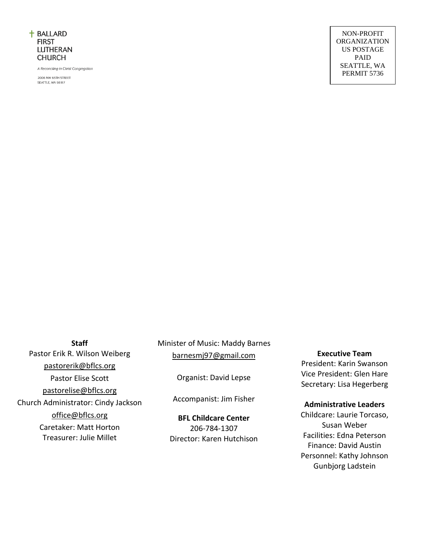

A Reconciling in Christ Congregation

2006 NW 65TH STREET SEATTLE, WA 98117

#### **Staff**

Pastor Erik R. Wilson Weiberg pastorerik@bflcs.org Pastor Elise Scott [pastorelise@bflcs.org](mailto:pastorelise@bflcs.org) Church Administrator: Cindy Jackson office@bflcs.org Caretaker: Matt Horton Treasurer: Julie Millet

Minister of Music: Maddy Barnes [barnesmj97@gmail.com](mailto:barnesma@plu.edu)

Organist: David Lepse

Accompanist: Jim Fisher

**BFL Childcare Center**  206-784-1307 Director: Karen Hutchison **Executive Team**

President: Karin Swanson Vice President: Glen Hare Secretary: Lisa Hegerberg

#### **Administrative Leaders**

Childcare: Laurie Torcaso, Susan Weber Facilities: Edna Peterson Finance: David Austin Personnel: Kathy Johnson Gunbjorg Ladstein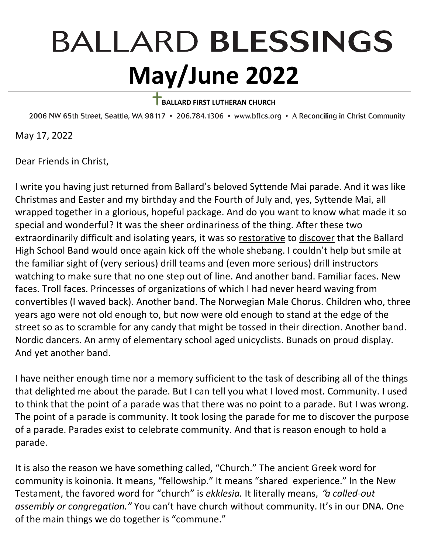# **BALLARD BLESSINGS May/June 2022**

## **BALLARD FIRST LUTHERAN CHURCH**

2006 NW 65th Street, Seattle, WA 98117 . 206.784.1306 . www.bflcs.org . A Reconciling in Christ Community

May 17, 2022

Dear Friends in Christ,

I write you having just returned from Ballard's beloved Syttende Mai parade. And it was like Christmas and Easter and my birthday and the Fourth of July and, yes, Syttende Mai, all wrapped together in a glorious, hopeful package. And do you want to know what made it so special and wonderful? It was the sheer ordinariness of the thing. After these two extraordinarily difficult and isolating years, it was so restorative to discover that the Ballard High School Band would once again kick off the whole shebang. I couldn't help but smile at the familiar sight of (very serious) drill teams and (even more serious) drill instructors watching to make sure that no one step out of line. And another band. Familiar faces. New faces. Troll faces. Princesses of organizations of which I had never heard waving from convertibles (I waved back). Another band. The Norwegian Male Chorus. Children who, three years ago were not old enough to, but now were old enough to stand at the edge of the street so as to scramble for any candy that might be tossed in their direction. Another band. Nordic dancers. An army of elementary school aged unicyclists. Bunads on proud display. And yet another band.

I have neither enough time nor a memory sufficient to the task of describing all of the things that delighted me about the parade. But I can tell you what I loved most. Community. I used to think that the point of a parade was that there was no point to a parade. But I was wrong. The point of a parade is community. It took losing the parade for me to discover the purpose of a parade. Parades exist to celebrate community. And that is reason enough to hold a parade.

It is also the reason we have something called, "Church." The ancient Greek word for community is koinonia. It means, "fellowship." It means "shared experience." In the New Testament, the favored word for "church" is *ekklesia.* It literally means, "*a called-out assembly or congregation."* You can't have church without community. It's in our DNA. One of the main things we do together is "commune."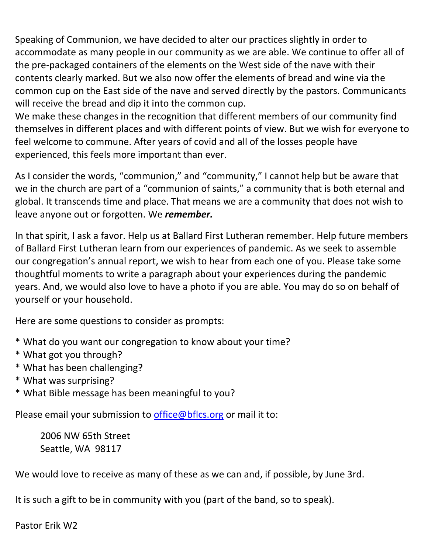Speaking of Communion, we have decided to alter our practices slightly in order to accommodate as many people in our community as we are able. We continue to offer all of the pre-packaged containers of the elements on the West side of the nave with their contents clearly marked. But we also now offer the elements of bread and wine via the common cup on the East side of the nave and served directly by the pastors. Communicants will receive the bread and dip it into the common cup.

We make these changes in the recognition that different members of our community find themselves in different places and with different points of view. But we wish for everyone to feel welcome to commune. After years of covid and all of the losses people have experienced, this feels more important than ever.

As I consider the words, "communion," and "community," I cannot help but be aware that we in the church are part of a "communion of saints," a community that is both eternal and global. It transcends time and place. That means we are a community that does not wish to leave anyone out or forgotten. We *remember.*

In that spirit, I ask a favor. Help us at Ballard First Lutheran remember. Help future members of Ballard First Lutheran learn from our experiences of pandemic. As we seek to assemble our congregation's annual report, we wish to hear from each one of you. Please take some thoughtful moments to write a paragraph about your experiences during the pandemic years. And, we would also love to have a photo if you are able. You may do so on behalf of yourself or your household.

Here are some questions to consider as prompts:

- \* What do you want our congregation to know about your time?
- \* What got you through?
- \* What has been challenging?
- \* What was surprising?
- \* What Bible message has been meaningful to you?

Please email your submission to [office@bflcs.org](mailto:office@bflcs.org) or mail it to:

2006 NW 65th Street Seattle, WA 98117

We would love to receive as many of these as we can and, if possible, by June 3rd.

It is such a gift to be in community with you (part of the band, so to speak).

Pastor Erik W2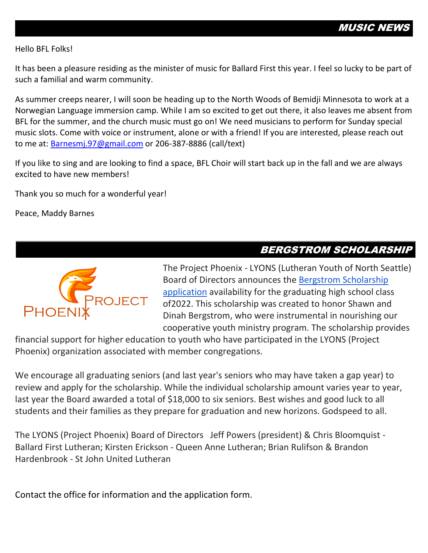#### Hello BFL Folks!

It has been a pleasure residing as the minister of music for Ballard First this year. I feel so lucky to be part of such a familial and warm community.

As summer creeps nearer, I will soon be heading up to the North Woods of Bemidji Minnesota to work at a Norwegian Language immersion camp. While I am so excited to get out there, it also leaves me absent from BFL for the summer, and the church music must go on! We need musicians to perform for Sunday special music slots. Come with voice or instrument, alone or with a friend! If you are interested, please reach out to me at: [Barnesmj.97@gmail.com](mailto:Barnesmj.97@gmail.com) or 206-387-8886 (call/text)

If you like to sing and are looking to find a space, BFL Choir will start back up in the fall and we are always excited to have new members!

Thank you so much for a wonderful year!

Peace, Maddy Barnes

#### BERGSTROM SCHOLARSHIP



The Project Phoenix - LYONS (Lutheran Youth of North Seattle) Board of Directors announces the [Bergstrom Scholarship](https://drive.google.com/file/d/1apTcDL5VKkOuH8Xf4o3mf0uPYKSFHGhv/view?usp=sharing)  [application](https://drive.google.com/file/d/1apTcDL5VKkOuH8Xf4o3mf0uPYKSFHGhv/view?usp=sharing) availability for the graduating high school class of2022. This scholarship was created to honor Shawn and Dinah Bergstrom, who were instrumental in nourishing our cooperative youth ministry program. The scholarship provides

financial support for higher education to youth who have participated in the LYONS (Project Phoenix) organization associated with member congregations.

We encourage all graduating seniors (and last year's seniors who may have taken a gap year) to review and apply for the scholarship. While the individual scholarship amount varies year to year, last year the Board awarded a total of \$18,000 to six seniors. Best wishes and good luck to all students and their families as they prepare for graduation and new horizons. Godspeed to all.

The LYONS (Project Phoenix) Board of Directors Jeff Powers (president) & Chris Bloomquist - Ballard First Lutheran; Kirsten Erickson - Queen Anne Lutheran; Brian Rulifson & Brandon Hardenbrook - St John United Lutheran

Contact the office for information and the application form.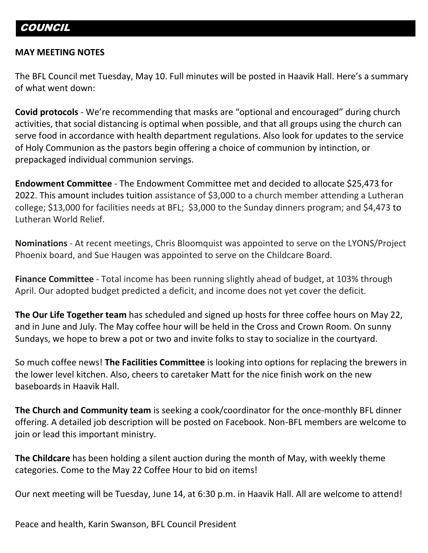#### **MAY MEETING NOTES**

The BFL Council met Tuesday, May 10. Full minutes will be posted in Haavik Hall. Here's a summary of what went down:

**Covid protocols** - We're recommending that masks are "optional and encouraged" during church activities, that social distancing is optimal when possible, and that all groups using the church can serve food in accordance with health department regulations. Also look for updates to the service of Holy Communion as the pastors begin offering a choice of communion by intinction, or prepackaged individual communion servings.

**Endowment Committee** - The Endowment Committee met and decided to allocate \$25,473 for 2022. This amount includes tuition assistance of \$3,000 to a church member attending a Lutheran college; \$13,000 for facilities needs at BFL; \$3,000 to the Sunday dinners program; and \$4,473 to Lutheran World Relief.

**Nominations** - At recent meetings, Chris Bloomquist was appointed to serve on the LYONS/Project Phoenix board, and Sue Haugen was appointed to serve on the Childcare Board.

**Finance Committee** - Total income has been running slightly ahead of budget, at 103% through April. Our adopted budget predicted a deficit, and income does not yet cover the deficit.

**The Our Life Together team** has scheduled and signed up hosts for three coffee hours on May 22, and in June and July. The May coffee hour will be held in the Cross and Crown Room. On sunny Sundays, we hope to brew a pot or two and invite folks to stay to socialize in the courtyard.

So much coffee news! **The Facilities Committee** is looking into options for replacing the brewers in the lower level kitchen. Also, cheers to caretaker Matt for the nice finish work on the new baseboards in Haavik Hall.

**The Church and Community team** is seeking a cook/coordinator for the once-monthly BFL dinner offering. A detailed job description will be posted on Facebook. Non-BFL members are welcome to join or lead this important ministry.

**The Childcare** has been holding a silent auction during the month of May, with weekly theme categories. Come to the May 22 Coffee Hour to bid on items!

Our next meeting will be Tuesday, June 14, at 6:30 p.m. in Haavik Hall. All are welcome to attend!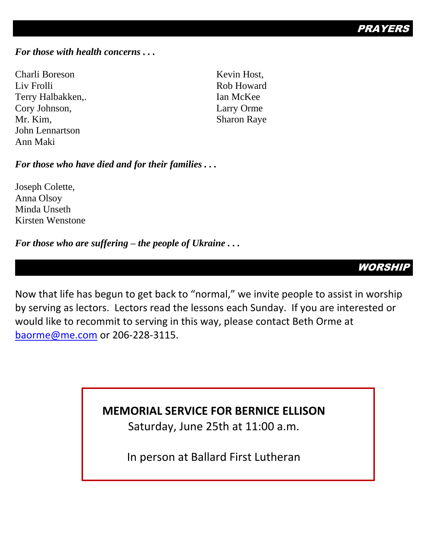PRAYE

#### *For those with health concerns . . .*

Charli Boreson Liv Frolli Terry Halbakken,. Cory Johnson, Mr. Kim, John Lennartson Ann Maki

Kevin Host, Rob Howard Ian McKee Larry Orme Sharon Raye

*For those who have died and for their families . . .*

Joseph Colette, Anna Olsoy Minda Unseth Kirsten Wenstone

#### *For those who are suffering – the people of Ukraine . . .*

WORSHII

Now that life has begun to get back to "normal," we invite people to assist in worship by serving as lectors. Lectors read the lessons each Sunday. If you are interested or would like to recommit to serving in this way, please contact Beth Orme at [baorme@me.com](mailto:baorme@me.com) or 206-228-3115.

## **MEMORIAL SERVICE FOR BERNICE ELLISON**

Saturday, June 25th at 11:00 a.m.

In person at Ballard First Lutheran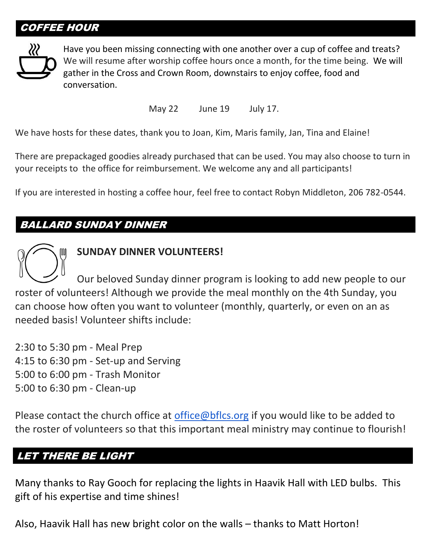## COFFEE HOUR



Have you been missing connecting with one another over a cup of coffee and treats? We will resume after worship coffee hours once a month, for the time being. We will gather in the Cross and Crown Room, downstairs to enjoy coffee, food and conversation.

May 22 June 19 July 17.

We have hosts for these dates, thank you to Joan, Kim, Maris family, Jan, Tina and Elaine!

There are prepackaged goodies already purchased that can be used. You may also choose to turn in your receipts to the office for reimbursement. We welcome any and all participants!

If you are interested in hosting a coffee hour, feel free to contact Robyn Middleton, 206 782-0544.

## BALLARD SUNDAY DINNER

#### **SUNDAY DINNER VOLUNTEERS!**

Our beloved Sunday dinner program is looking to add new people to our roster of volunteers! Although we provide the meal monthly on the 4th Sunday, you can choose how often you want to volunteer (monthly, quarterly, or even on an as needed basis! Volunteer shifts include:

2:30 to 5:30 pm - Meal Prep 4:15 to 6:30 pm - Set-up and Serving 5:00 to 6:00 pm - Trash Monitor 5:00 to 6:30 pm - Clean-up

Please contact the church office at [office@bflcs.org](mailto:office@bflcs.org) if you would like to be added to the roster of volunteers so that this important meal ministry may continue to flourish!

#### LET THERE BE LIGHT

Many thanks to Ray Gooch for replacing the lights in Haavik Hall with LED bulbs. This gift of his expertise and time shines!

Also, Haavik Hall has new bright color on the walls – thanks to Matt Horton!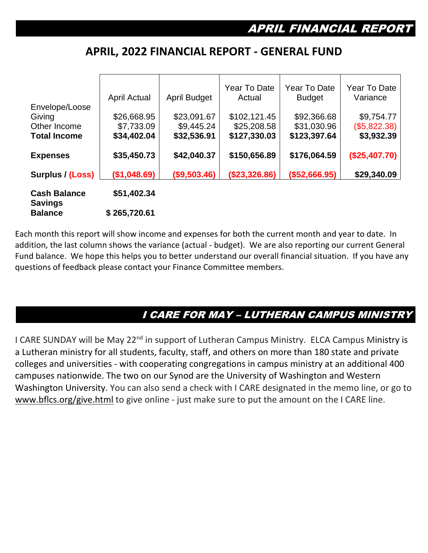#### **APRIL, 2022 FINANCIAL REPORT - GENERAL FUND**

|                                       | April Actual | <b>April Budget</b> | Year To Date<br>Actual | Year To Date<br><b>Budget</b> | Year To Date<br>Variance |
|---------------------------------------|--------------|---------------------|------------------------|-------------------------------|--------------------------|
| Envelope/Loose                        |              |                     |                        |                               |                          |
| Giving                                | \$26,668.95  | \$23,091.67         | \$102,121.45           | \$92,366.68                   | \$9,754.77               |
| Other Income                          | \$7,733.09   | \$9,445.24          | \$25,208.58            | \$31,030.96                   | (\$5,822.38)             |
| <b>Total Income</b>                   | \$34,402.04  | \$32,536.91         | \$127,330.03           | \$123,397.64                  | \$3,932.39               |
| <b>Expenses</b>                       | \$35,450.73  | \$42,040.37         | \$150,656.89           | \$176,064.59                  | (\$25,407.70)            |
| Surplus / (Loss)                      | (\$1,048.69) | ( \$9,503.46)       | (\$23,326.86)          | (\$52,666.95)                 | \$29,340.09              |
| <b>Cash Balance</b><br><b>Savings</b> | \$51,402.34  |                     |                        |                               |                          |
| <b>Balance</b>                        | \$265,720.61 |                     |                        |                               |                          |

Each month this report will show income and expenses for both the current month and year to date. In addition, the last column shows the variance (actual - budget). We are also reporting our current General Fund balance. We hope this helps you to better understand our overall financial situation. If you have any questions of feedback please contact your Finance Committee members.

## I CARE FOR MAY – LUTHERAN CAMPUS MINISTRY

I CARE SUNDAY will be May 22<sup>nd</sup> in support of Lutheran Campus Ministry. ELCA Campus Ministry is a Lutheran ministry for all students, faculty, staff, and others on more than 180 state and private colleges and universities - with cooperating congregations in campus ministry at an additional 400 campuses nationwide. The two on our Synod are the University of Washington and Western Washington University. You can also send a check with I CARE designated in the memo line, or go to [www.bflcs.org/give.html](http://www.bflcs.org/give.html) to give online - just make sure to put the amount on the I CARE line.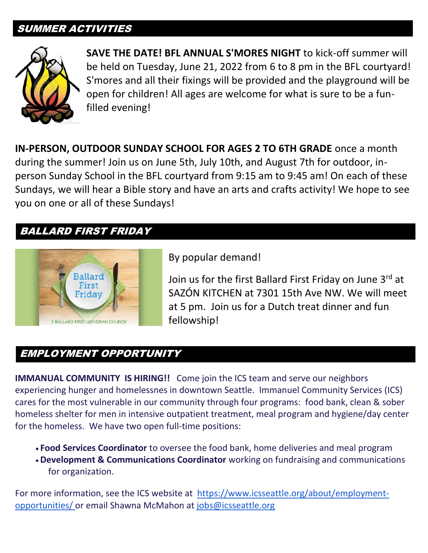#### SUMMER ACTIVITIES



**SAVE THE DATE! BFL ANNUAL S'MORES NIGHT** to kick-off summer will be held on Tuesday, June 21, 2022 from 6 to 8 pm in the BFL courtyard! S'mores and all their fixings will be provided and the playground will be open for children! All ages are welcome for what is sure to be a funfilled evening!

**IN-PERSON, OUTDOOR SUNDAY SCHOOL FOR AGES 2 TO 6TH GRADE** once a month during the summer! Join us on June 5th, July 10th, and August 7th for outdoor, inperson Sunday School in the BFL courtyard from 9:15 am to 9:45 am! On each of these Sundays, we will hear a Bible story and have an arts and crafts activity! We hope to see you on one or all of these Sundays!

#### BALLARD FIRST FRIDAY



By popular demand!

Join us for the first Ballard First Friday on June 3rd at SAZÓN KITCHEN at 7301 15th Ave NW. We will meet at 5 pm. Join us for a Dutch treat dinner and fun fellowship!

## EMPLOYMENT OPPORTUNITY

**IMMANUAL COMMUNITY IS HIRING!!** Come join the ICS team and serve our neighbors experiencing hunger and homelessnes in downtown Seattle. Immanuel Community Services (ICS) cares for the most vulnerable in our community through four programs: food bank, clean & sober homeless shelter for men in intensive outpatient treatment, meal program and hygiene/day center for the homeless. We have two open full-time positions:

- **Food Services Coordinator** to oversee the food bank, home deliveries and meal program
- •**Development & Communications Coordinator** working on fundraising and communications for organization.

For more information, see the ICS website at [https://www.icsseattle.org/about/employment](https://www.icsseattle.org/about/employment-opportunities/)[opportunities/](https://www.icsseattle.org/about/employment-opportunities/) or email Shawna McMahon at [jobs@icsseattle.org](mailto:director@icsseattle.org)